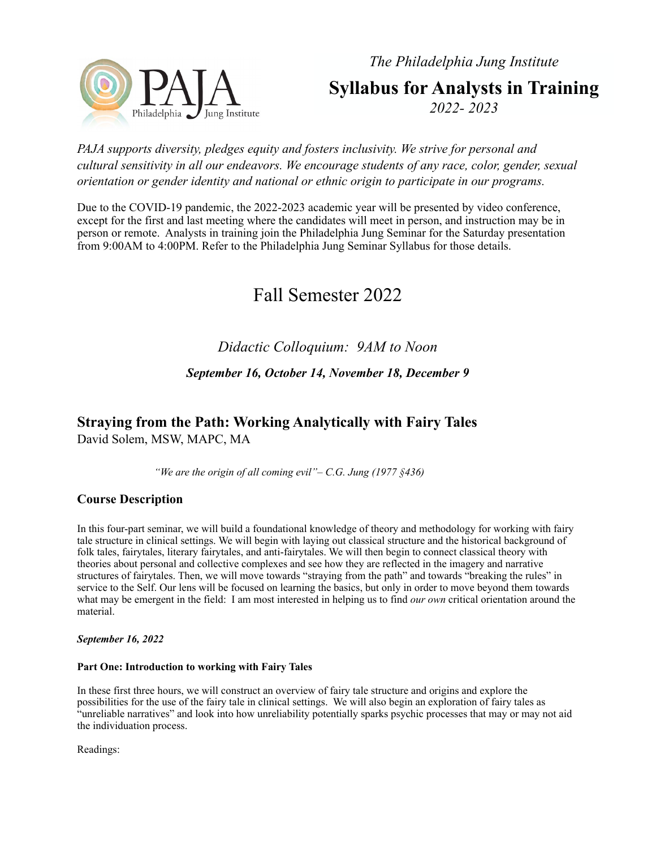*The Philadelphia Jung Institute*



**Syllabus for Analysts in Training** *2022- 2023*

## *PAJA supports diversity, pledges equity and fosters inclusivity. We strive for personal and cultural sensitivity in all our endeavors. We encourage students of any race, color, gender, sexual orientation or gender identity and national or ethnic origin to participate in our programs.*

Due to the COVID-19 pandemic, the 2022-2023 academic year will be presented by video conference, except for the first and last meeting where the candidates will meet in person, and instruction may be in person or remote. Analysts in training join the Philadelphia Jung Seminar for the Saturday presentation from 9:00AM to 4:00PM. Refer to the [Philadelphia Jung Seminar Syllabus](http://cgjungphiladelphia.org/institute/2018_2019_Seminar_Curriculum.pdf) for those details.

# Fall Semester 2022

## *Didactic Colloquium: 9AM to Noon*

## *September 16, October 14, November 18, December 9*

# **Straying from the Path: Working Analytically with Fairy Tales**

David Solem, MSW, MAPC, MA

*"We are the origin of all coming evil"– C.G. Jung (1977 §436)*

## **Course Description**

In this four-part seminar, we will build a foundational knowledge of theory and methodology for working with fairy tale structure in clinical settings. We will begin with laying out classical structure and the historical background of folk tales, fairytales, literary fairytales, and anti-fairytales. We will then begin to connect classical theory with theories about personal and collective complexes and see how they are reflected in the imagery and narrative structures of fairytales. Then, we will move towards "straying from the path" and towards "breaking the rules" in service to the Self. Our lens will be focused on learning the basics, but only in order to move beyond them towards what may be emergent in the field: I am most interested in helping us to find *our own* critical orientation around the material.

*September 16, 2022*

## **Part One: Introduction to working with Fairy Tales**

In these first three hours, we will construct an overview of fairy tale structure and origins and explore the possibilities for the use of the fairy tale in clinical settings. We will also begin an exploration of fairy tales as "unreliable narratives" and look into how unreliability potentially sparks psychic processes that may or may not aid the individuation process.

Readings: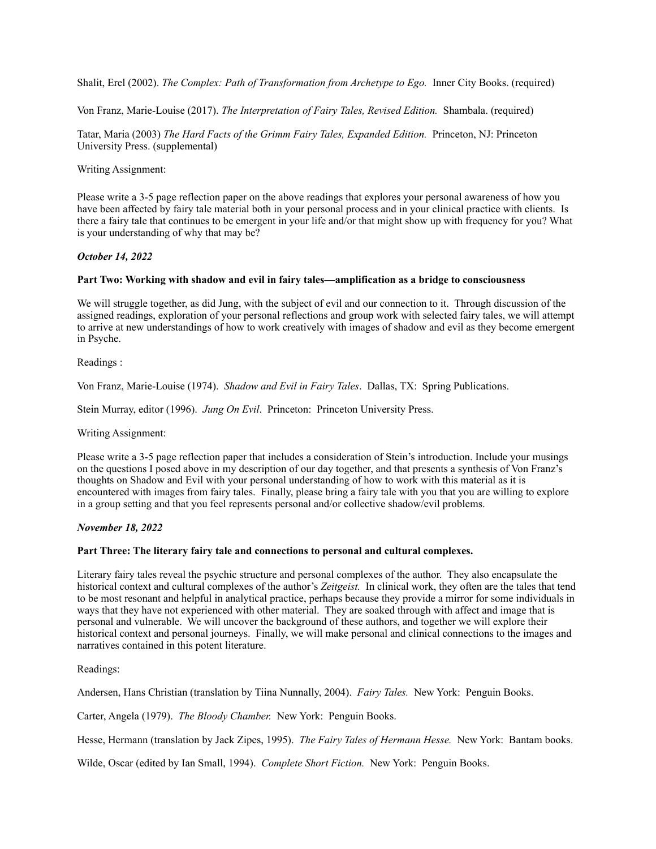Shalit, Erel (2002). *The Complex: Path of Transformation from Archetype to Ego.* Inner City Books. (required)

Von Franz, Marie-Louise (2017). *The Interpretation of Fairy Tales, Revised Edition.* Shambala. (required)

Tatar, Maria (2003) *The Hard Facts of the Grimm Fairy Tales, Expanded Edition.* Princeton, NJ: Princeton University Press. (supplemental)

#### Writing Assignment:

Please write a 3-5 page reflection paper on the above readings that explores your personal awareness of how you have been affected by fairy tale material both in your personal process and in your clinical practice with clients. Is there a fairy tale that continues to be emergent in your life and/or that might show up with frequency for you? What is your understanding of why that may be?

#### *October 14, 2022*

#### **Part Two: Working with shadow and evil in fairy tales—amplification as a bridge to consciousness**

We will struggle together, as did Jung, with the subject of evil and our connection to it. Through discussion of the assigned readings, exploration of your personal reflections and group work with selected fairy tales, we will attempt to arrive at new understandings of how to work creatively with images of shadow and evil as they become emergent in Psyche.

Readings :

Von Franz, Marie-Louise (1974). *Shadow and Evil in Fairy Tales*. Dallas, TX: Spring Publications.

Stein Murray, editor (1996). *Jung On Evil*. Princeton: Princeton University Press.

#### Writing Assignment:

Please write a 3-5 page reflection paper that includes a consideration of Stein's introduction. Include your musings on the questions I posed above in my description of our day together, and that presents a synthesis of Von Franz's thoughts on Shadow and Evil with your personal understanding of how to work with this material as it is encountered with images from fairy tales. Finally, please bring a fairy tale with you that you are willing to explore in a group setting and that you feel represents personal and/or collective shadow/evil problems.

#### *November 18, 2022*

#### **Part Three: The literary fairy tale and connections to personal and cultural complexes.**

Literary fairy tales reveal the psychic structure and personal complexes of the author. They also encapsulate the historical context and cultural complexes of the author's *Zeitgeist.* In clinical work, they often are the tales that tend to be most resonant and helpful in analytical practice, perhaps because they provide a mirror for some individuals in ways that they have not experienced with other material. They are soaked through with affect and image that is personal and vulnerable. We will uncover the background of these authors, and together we will explore their historical context and personal journeys. Finally, we will make personal and clinical connections to the images and narratives contained in this potent literature.

Readings:

Andersen, Hans Christian (translation by Tiina Nunnally, 2004). *Fairy Tales.* New York: Penguin Books.

Carter, Angela (1979). *The Bloody Chamber.* New York: Penguin Books.

Hesse, Hermann (translation by Jack Zipes, 1995). *The Fairy Tales of Hermann Hesse.* New York: Bantam books.

Wilde, Oscar (edited by Ian Small, 1994). *Complete Short Fiction.* New York: Penguin Books.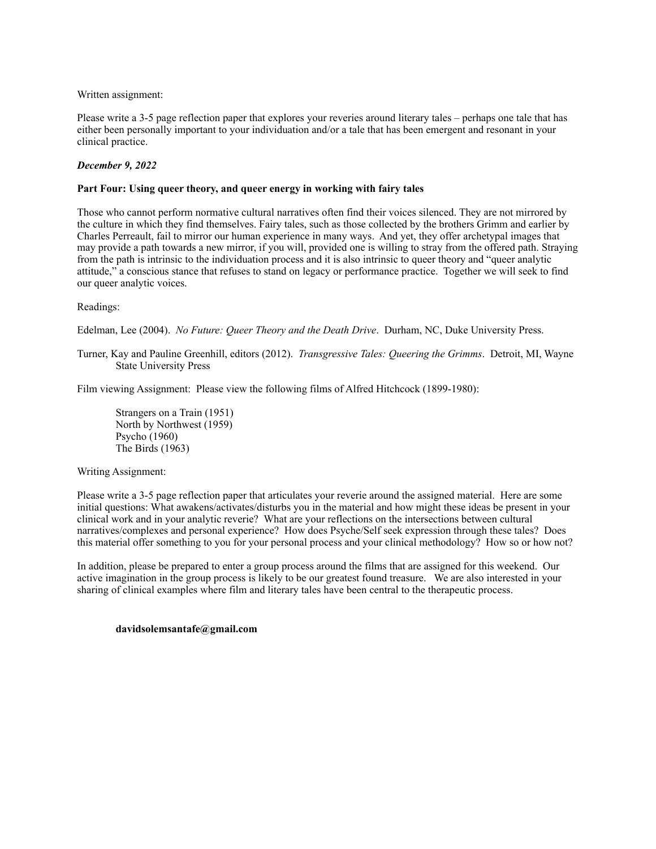Written assignment:

Please write a 3-5 page reflection paper that explores your reveries around literary tales – perhaps one tale that has either been personally important to your individuation and/or a tale that has been emergent and resonant in your clinical practice.

#### *December 9, 2022*

#### **Part Four: Using queer theory, and queer energy in working with fairy tales**

Those who cannot perform normative cultural narratives often find their voices silenced. They are not mirrored by the culture in which they find themselves. Fairy tales, such as those collected by the brothers Grimm and earlier by Charles Perreault, fail to mirror our human experience in many ways. And yet, they offer archetypal images that may provide a path towards a new mirror, if you will, provided one is willing to stray from the offered path. Straying from the path is intrinsic to the individuation process and it is also intrinsic to queer theory and "queer analytic attitude," a conscious stance that refuses to stand on legacy or performance practice. Together we will seek to find our queer analytic voices.

#### Readings:

Edelman, Lee (2004). *No Future: Queer Theory and the Death Drive*. Durham, NC, Duke University Press.

Turner, Kay and Pauline Greenhill, editors (2012). *Transgressive Tales: Queering the Grimms*. Detroit, MI, Wayne State University Press

Film viewing Assignment: Please view the following films of Alfred Hitchcock (1899-1980):

Strangers on a Train (1951) North by Northwest (1959) Psycho (1960) The Birds (1963)

#### Writing Assignment:

Please write a 3-5 page reflection paper that articulates your reverie around the assigned material. Here are some initial questions: What awakens/activates/disturbs you in the material and how might these ideas be present in your clinical work and in your analytic reverie? What are your reflections on the intersections between cultural narratives/complexes and personal experience? How does Psyche/Self seek expression through these tales? Does this material offer something to you for your personal process and your clinical methodology? How so or how not?

In addition, please be prepared to enter a group process around the films that are assigned for this weekend. Our active imagination in the group process is likely to be our greatest found treasure. We are also interested in your sharing of clinical examples where film and literary tales have been central to the therapeutic process.

#### **davidsolemsantafe@gmail.com**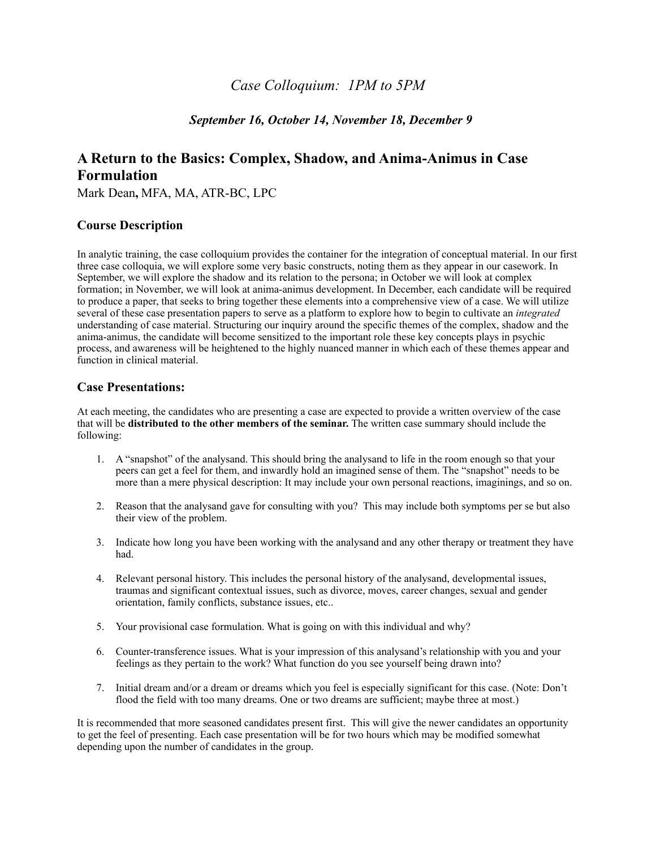## *Case Colloquium: 1PM to 5PM*

## *September 16, October 14, November 18, December 9*

## **A Return to the Basics: Complex, Shadow, and Anima-Animus in Case Formulation**

Mark Dean**,** MFA, MA, ATR-BC, LPC

## **Course Description**

In analytic training, the case colloquium provides the container for the integration of conceptual material. In our first three case colloquia, we will explore some very basic constructs, noting them as they appear in our casework. In September, we will explore the shadow and its relation to the persona; in October we will look at complex formation; in November, we will look at anima-animus development. In December, each candidate will be required to produce a paper, that seeks to bring together these elements into a comprehensive view of a case. We will utilize several of these case presentation papers to serve as a platform to explore how to begin to cultivate an *integrated* understanding of case material. Structuring our inquiry around the specific themes of the complex, shadow and the anima-animus, the candidate will become sensitized to the important role these key concepts plays in psychic process, and awareness will be heightened to the highly nuanced manner in which each of these themes appear and function in clinical material.

#### **Case Presentations:**

At each meeting, the candidates who are presenting a case are expected to provide a written overview of the case that will be **distributed to the other members of the seminar.** The written case summary should include the following:

- 1. A "snapshot" of the analysand. This should bring the analysand to life in the room enough so that your peers can get a feel for them, and inwardly hold an imagined sense of them. The "snapshot" needs to be more than a mere physical description: It may include your own personal reactions, imaginings, and so on.
- 2. Reason that the analysand gave for consulting with you? This may include both symptoms per se but also their view of the problem.
- 3. Indicate how long you have been working with the analysand and any other therapy or treatment they have had.
- 4. Relevant personal history. This includes the personal history of the analysand, developmental issues, traumas and significant contextual issues, such as divorce, moves, career changes, sexual and gender orientation, family conflicts, substance issues, etc..
- 5. Your provisional case formulation. What is going on with this individual and why?
- 6. Counter-transference issues. What is your impression of this analysand's relationship with you and your feelings as they pertain to the work? What function do you see yourself being drawn into?
- 7. Initial dream and/or a dream or dreams which you feel is especially significant for this case. (Note: Don't flood the field with too many dreams. One or two dreams are sufficient; maybe three at most.)

It is recommended that more seasoned candidates present first. This will give the newer candidates an opportunity to get the feel of presenting. Each case presentation will be for two hours which may be modified somewhat depending upon the number of candidates in the group.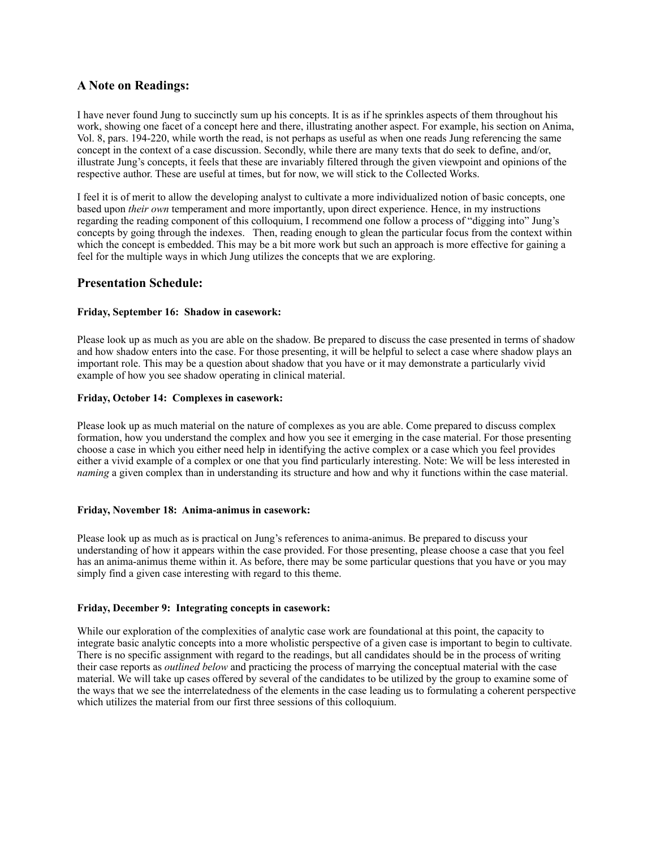## **A Note on Readings:**

I have never found Jung to succinctly sum up his concepts. It is as if he sprinkles aspects of them throughout his work, showing one facet of a concept here and there, illustrating another aspect. For example, his section on Anima, Vol. 8, pars. 194-220, while worth the read, is not perhaps as useful as when one reads Jung referencing the same concept in the context of a case discussion. Secondly, while there are many texts that do seek to define, and/or, illustrate Jung's concepts, it feels that these are invariably filtered through the given viewpoint and opinions of the respective author. These are useful at times, but for now, we will stick to the Collected Works.

I feel it is of merit to allow the developing analyst to cultivate a more individualized notion of basic concepts, one based upon *their own* temperament and more importantly, upon direct experience. Hence, in my instructions regarding the reading component of this colloquium, I recommend one follow a process of "digging into" Jung's concepts by going through the indexes. Then, reading enough to glean the particular focus from the context within which the concept is embedded. This may be a bit more work but such an approach is more effective for gaining a feel for the multiple ways in which Jung utilizes the concepts that we are exploring.

#### **Presentation Schedule:**

#### **Friday, September 16: Shadow in casework:**

Please look up as much as you are able on the shadow. Be prepared to discuss the case presented in terms of shadow and how shadow enters into the case. For those presenting, it will be helpful to select a case where shadow plays an important role. This may be a question about shadow that you have or it may demonstrate a particularly vivid example of how you see shadow operating in clinical material.

#### **Friday, October 14: Complexes in casework:**

Please look up as much material on the nature of complexes as you are able. Come prepared to discuss complex formation, how you understand the complex and how you see it emerging in the case material. For those presenting choose a case in which you either need help in identifying the active complex or a case which you feel provides either a vivid example of a complex or one that you find particularly interesting. Note: We will be less interested in *naming* a given complex than in understanding its structure and how and why it functions within the case material.

#### **Friday, November 18: Anima-animus in casework:**

Please look up as much as is practical on Jung's references to anima-animus. Be prepared to discuss your understanding of how it appears within the case provided. For those presenting, please choose a case that you feel has an anima-animus theme within it. As before, there may be some particular questions that you have or you may simply find a given case interesting with regard to this theme.

#### **Friday, December 9: Integrating concepts in casework:**

While our exploration of the complexities of analytic case work are foundational at this point, the capacity to integrate basic analytic concepts into a more wholistic perspective of a given case is important to begin to cultivate. There is no specific assignment with regard to the readings, but all candidates should be in the process of writing their case reports as *outlined below* and practicing the process of marrying the conceptual material with the case material. We will take up cases offered by several of the candidates to be utilized by the group to examine some of the ways that we see the interrelatedness of the elements in the case leading us to formulating a coherent perspective which utilizes the material from our first three sessions of this colloquium.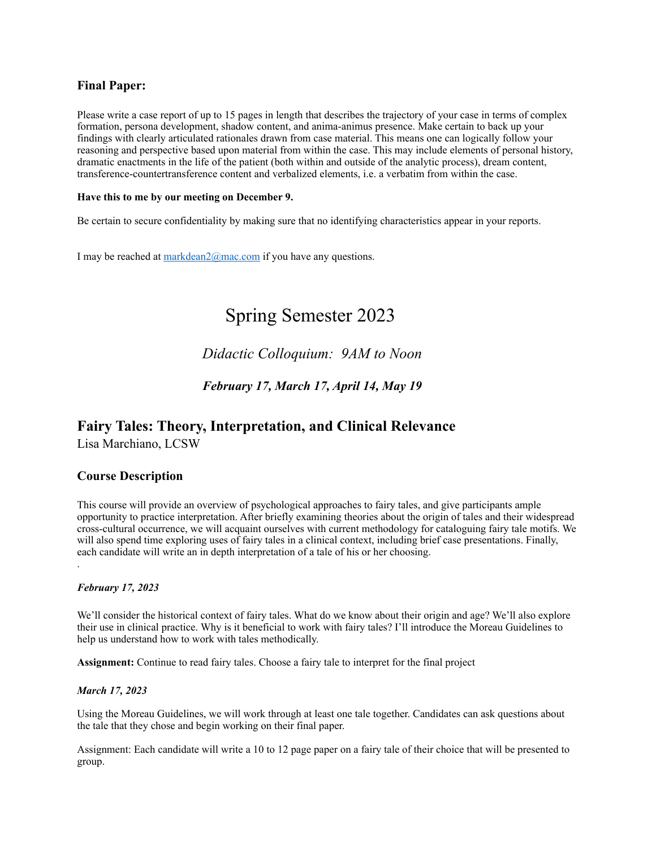## **Final Paper:**

Please write a case report of up to 15 pages in length that describes the trajectory of your case in terms of complex formation, persona development, shadow content, and anima-animus presence. Make certain to back up your findings with clearly articulated rationales drawn from case material. This means one can logically follow your reasoning and perspective based upon material from within the case. This may include elements of personal history, dramatic enactments in the life of the patient (both within and outside of the analytic process), dream content, transference-countertransference content and verbalized elements, i.e. a verbatim from within the case.

#### **Have this to me by our meeting on December 9.**

Be certain to secure confidentiality by making sure that no identifying characteristics appear in your reports.

I may be reached at [markdean2@mac.com](mailto:markdean2@mac.com) if you have any questions.

# Spring Semester 2023

 *Didactic Colloquium: 9AM to Noon*

 *February 17, March 17, April 14, May 19*

## **Fairy Tales: Theory, Interpretation, and Clinical Relevance**

Lisa Marchiano, LCSW

## **Course Description**

This course will provide an overview of psychological approaches to fairy tales, and give participants ample opportunity to practice interpretation. After briefly examining theories about the origin of tales and their widespread cross-cultural occurrence, we will acquaint ourselves with current methodology for cataloguing fairy tale motifs. We will also spend time exploring uses of fairy tales in a clinical context, including brief case presentations. Finally, each candidate will write an in depth interpretation of a tale of his or her choosing. .

#### *February 17, 2023*

We'll consider the historical context of fairy tales. What do we know about their origin and age? We'll also explore their use in clinical practice. Why is it beneficial to work with fairy tales? I'll introduce the Moreau Guidelines to help us understand how to work with tales methodically.

**Assignment:** Continue to read fairy tales. Choose a fairy tale to interpret for the final project

#### *March 17, 2023*

Using the Moreau Guidelines, we will work through at least one tale together. Candidates can ask questions about the tale that they chose and begin working on their final paper.

Assignment: Each candidate will write a 10 to 12 page paper on a fairy tale of their choice that will be presented to group.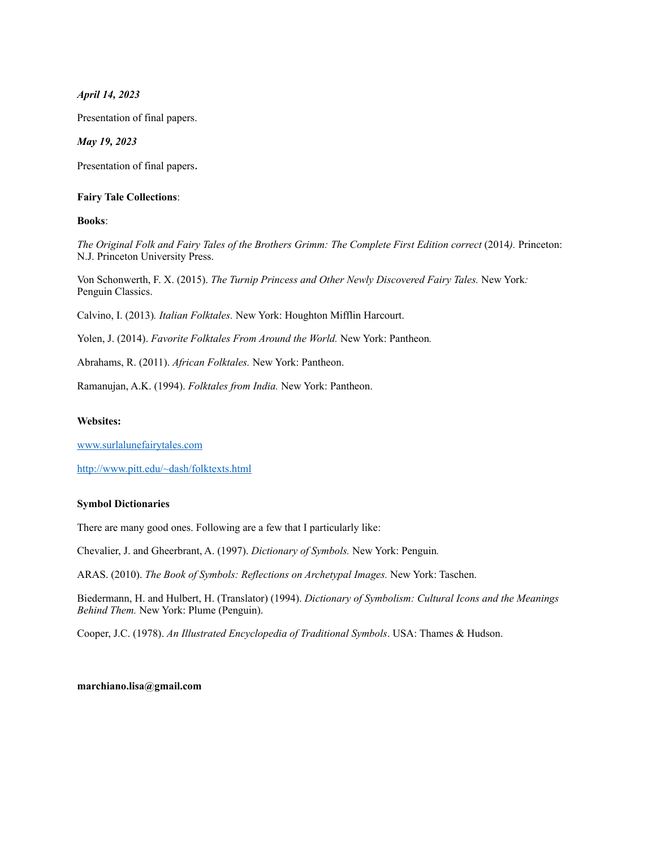*April 14, 2023*

Presentation of final papers.

*May 19, 2023*

Presentation of final papers.

#### **Fairy Tale Collections**:

**Books**:

*The Original Folk and Fairy Tales of the Brothers Grimm: The Complete First Edition correct* (2014*).* Princeton: N.J. Princeton University Press.

Von Schonwerth, F. X. (2015). *The Turnip Princess and Other Newly Discovered Fairy Tales.* New York*:* Penguin Classics.

Calvino, I. (2013)*. Italian Folktales.* New York: Houghton Mifflin Harcourt.

Yolen, J. (2014). *Favorite Folktales From Around the World.* New York: Pantheon*.*

Abrahams, R. (2011). *African Folktales.* New York: Pantheon.

Ramanujan, A.K. (1994). *Folktales from India.* New York: Pantheon.

#### **Websites:**

[www.surlalunefairytales.com](http://www.surlalunefairytales.com)

<http://www.pitt.edu/~dash/folktexts.html>

#### **Symbol Dictionaries**

There are many good ones. Following are a few that I particularly like:

Chevalier, J. and Gheerbrant, A. (1997). *Dictionary of Symbols.* New York: Penguin*.*

ARAS. (2010). *The Book of Symbols: Reflections on Archetypal Images.* New York: Taschen.

Biedermann, H. and Hulbert, H. (Translator) (1994). *Dictionary of Symbolism: Cultural Icons and the Meanings Behind Them.* New York: Plume (Penguin).

Cooper, J.C. (1978). *An Illustrated Encyclopedia of Traditional Symbols*. USA: Thames & Hudson.

#### **marchiano.lisa@gmail.com**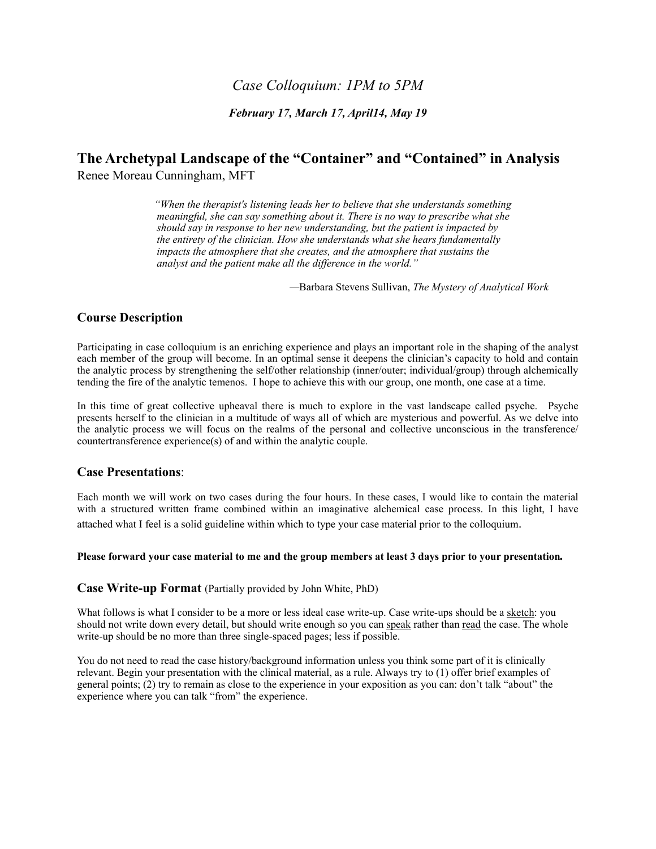## *Case Colloquium: 1PM to 5PM*

*February 17, March 17, April14, May 19*

## **The Archetypal Landscape of the "Container" and "Contained" in Analysis**  Renee Moreau Cunningham, MFT

*"When the therapist's listening leads her to believe that she understands something meaningful, she can say something about it. There is no way to prescribe what she should say in response to her new understanding, but the patient is impacted by the entirety of the clinician. How she understands what she hears fundamentally impacts the atmosphere that she creates, and the atmosphere that sustains the analyst and the patient make all the difference in the world."*

 *—*Barbara Stevens Sullivan, *The Mystery of Analytical Work*

## **Course Description**

Participating in case colloquium is an enriching experience and plays an important role in the shaping of the analyst each member of the group will become. In an optimal sense it deepens the clinician's capacity to hold and contain the analytic process by strengthening the self/other relationship (inner/outer; individual/group) through alchemically tending the fire of the analytic temenos. I hope to achieve this with our group, one month, one case at a time.

In this time of great collective upheaval there is much to explore in the vast landscape called psyche. Psyche presents herself to the clinician in a multitude of ways all of which are mysterious and powerful. As we delve into the analytic process we will focus on the realms of the personal and collective unconscious in the transference/ countertransference experience(s) of and within the analytic couple.

#### **Case Presentations**:

Each month we will work on two cases during the four hours. In these cases, I would like to contain the material with a structured written frame combined within an imaginative alchemical case process. In this light, I have

attached what I feel is a solid guideline within which to type your case material prior to the colloquium.

#### **Please forward your case material to me and the group members at least 3 days prior to your presentation***.*

**Case Write-up Format** (Partially provided by John White, PhD)

What follows is what I consider to be a more or less ideal case write-up. Case write-ups should be a sketch: you should not write down every detail, but should write enough so you can speak rather than read the case. The whole write-up should be no more than three single-spaced pages; less if possible.

You do not need to read the case history/background information unless you think some part of it is clinically relevant. Begin your presentation with the clinical material, as a rule. Always try to (1) offer brief examples of general points; (2) try to remain as close to the experience in your exposition as you can: don't talk "about" the experience where you can talk "from" the experience.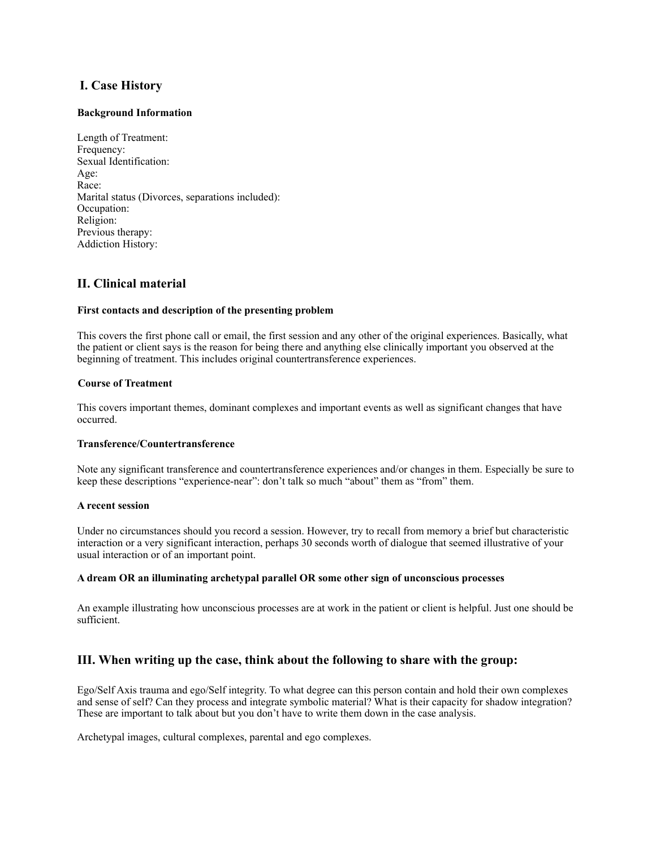## **I. Case History**

#### **Background Information**

Length of Treatment: Frequency: Sexual Identification: Age: Race: Marital status (Divorces, separations included): Occupation: Religion: Previous therapy: Addiction History:

## **II. Clinical material**

#### **First contacts and description of the presenting problem**

This covers the first phone call or email, the first session and any other of the original experiences. Basically, what the patient or client says is the reason for being there and anything else clinically important you observed at the beginning of treatment. This includes original countertransference experiences.

#### **Course of Treatment**

This covers important themes, dominant complexes and important events as well as significant changes that have occurred.

#### **Transference/Countertransference**

Note any significant transference and countertransference experiences and/or changes in them. Especially be sure to keep these descriptions "experience-near": don't talk so much "about" them as "from" them.

#### **A recent session**

Under no circumstances should you record a session. However, try to recall from memory a brief but characteristic interaction or a very significant interaction, perhaps 30 seconds worth of dialogue that seemed illustrative of your usual interaction or of an important point.

#### **A dream OR an illuminating archetypal parallel OR some other sign of unconscious processes**

An example illustrating how unconscious processes are at work in the patient or client is helpful. Just one should be sufficient.

#### **III. When writing up the case, think about the following to share with the group:**

Ego/Self Axis trauma and ego/Self integrity. To what degree can this person contain and hold their own complexes and sense of self? Can they process and integrate symbolic material? What is their capacity for shadow integration? These are important to talk about but you don't have to write them down in the case analysis.

Archetypal images, cultural complexes, parental and ego complexes.